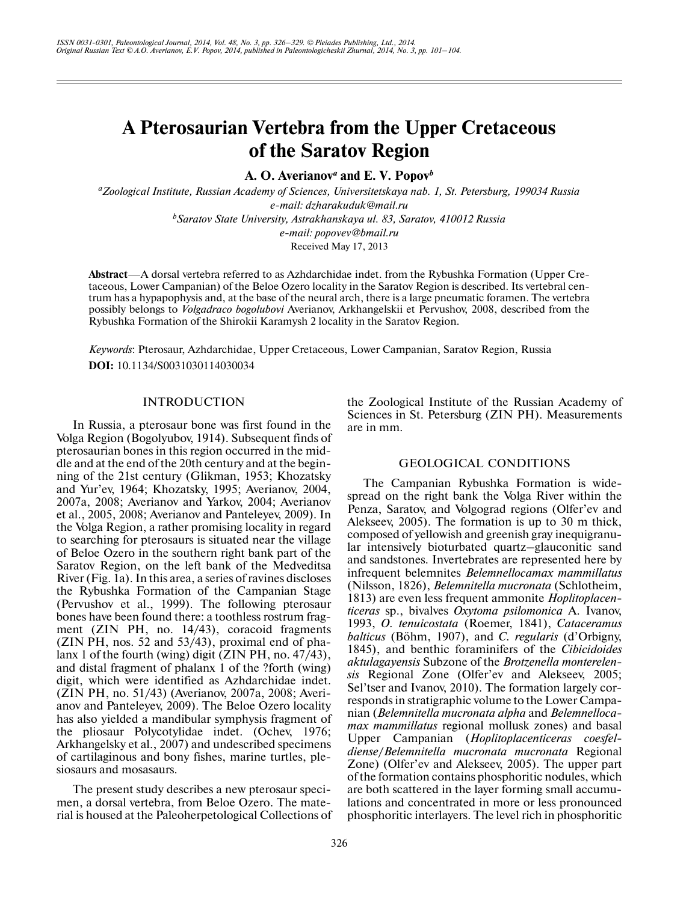# **A Pterosaurian Vertebra from the Upper Cretaceous of the Saratov Region**

A. O. Averianov<sup>*a*</sup> and E. V. Popov<sup>*b*</sup>

*a Zoological Institute, Russian Academy of Sciences, Universitetskaya nab. 1, St. Petersburg, 199034 Russia e-mail: dzharakuduk@mail.ru b Saratov State University, Astrakhanskaya ul. 83, Saratov, 410012 Russia e-mail: popovev@bmail.ru* Received May 17, 2013

**Abstract**—A dorsal vertebra referred to as Azhdarchidae indet. from the Rybushka Formation (Upper Cre taceous, Lower Campanian) of the Beloe Ozero locality in the Saratov Region is described. Its vertebral cen trum has a hypapophysis and, at the base of the neural arch, there is a large pneumatic foramen. The vertebra possibly belongs to *Volgadraco bogolubovi* Averianov, Arkhangelskii et Pervushov, 2008, described from the Rybushka Formation of the Shirokii Karamysh 2 locality in the Saratov Region.

*Keywords*: Pterosaur, Azhdarchidae, Upper Cretaceous, Lower Campanian, Saratov Region, Russia **DOI:** 10.1134/S0031030114030034

#### INTRODUCTION

In Russia, a pterosaur bone was first found in the Volga Region (Bogolyubov, 1914). Subsequent finds of pterosaurian bones in this region occurred in the mid dle and at the end of the 20th century and at the begin ning of the 21st century (Glikman, 1953; Khozatsky and Yur'ev, 1964; Khozatsky, 1995; Averianov, 2004, 2007a, 2008; Averianov and Yarkov, 2004; Averianov et al., 2005, 2008; Averianov and Panteleyev, 2009). In the Volga Region, a rather promising locality in regard to searching for pterosaurs is situated near the village of Beloe Ozero in the southern right bank part of the Saratov Region, on the left bank of the Medveditsa River (Fig. 1a). In this area, a series of ravines discloses the Rybushka Formation of the Campanian Stage (Pervushov et al., 1999). The following pterosaur bones have been found there: a toothless rostrum frag ment (ZIN PH, no. 14/43), coracoid fragments (ZIN PH, nos. 52 and 53/43), proximal end of pha lanx 1 of the fourth (wing) digit (ZIN PH, no. 47/43), and distal fragment of phalanx 1 of the ?forth (wing) digit, which were identified as Azhdarchidae indet. (ZIN PH, no. 51/43) (Averianov, 2007a, 2008; Averi anov and Panteleyev, 2009). The Beloe Ozero locality has also yielded a mandibular symphysis fragment of the pliosaur Polycotylidae indet. (Ochev, 1976; Arkhangelsky et al., 2007) and undescribed specimens of cartilaginous and bony fishes, marine turtles, ple siosaurs and mosasaurs.

The present study describes a new pterosaur speci men, a dorsal vertebra, from Beloe Ozero. The mate rial is housed at the Paleoherpetological Collections of the Zoological Institute of the Russian Academy of Sciences in St. Petersburg (ZIN PH). Measurements are in mm.

## GEOLOGICAL CONDITIONS

The Campanian Rybushka Formation is wide spread on the right bank the Volga River within the Penza, Saratov, and Volgograd regions (Olfer'ev and Alekseev, 2005). The formation is up to 30 m thick, composed of yellowish and greenish gray inequigranu lar intensively bioturbated quartz–glauconitic sand and sandstones. Invertebrates are represented here by infrequent belemnites *Belemnellocamax mammillatus* (Nilsson, 1826), *Belemnitella mucronata* (Schlotheim, 1813) are even less frequent ammonite *Hoplitoplacen ticeras* sp., bivalves *Oxytoma psilomonica* A. Ivanov, 1993, *O. tenuicostata* (Roemer, 1841), *Cataceramus balticus* (Böhm, 1907), and *C. regularis* (d'Orbigny, 1845), and benthic foraminifers of the *Cibicidoides aktulagayensis* Subzone of the *Brotzenella monterelen sis* Regional Zone (Olfer'ev and Alekseev, 2005; Sel'tser and Ivanov, 2010). The formation largely cor responds in stratigraphic volume to the Lower Campa nian (*Belemnitella mucronata alpha* and *Belemnelloca max mammillatus* regional mollusk zones) and basal Upper Campanian (*Hoplitoplacenticeras coesfel diense*/*Belemnitella mucronata mucronata* Regional Zone) (Olfer'ev and Alekseev, 2005). The upper part of the formation contains phosphoritic nodules, which are both scattered in the layer forming small accumu lations and concentrated in more or less pronounced phosphoritic interlayers. The level rich in phosphoritic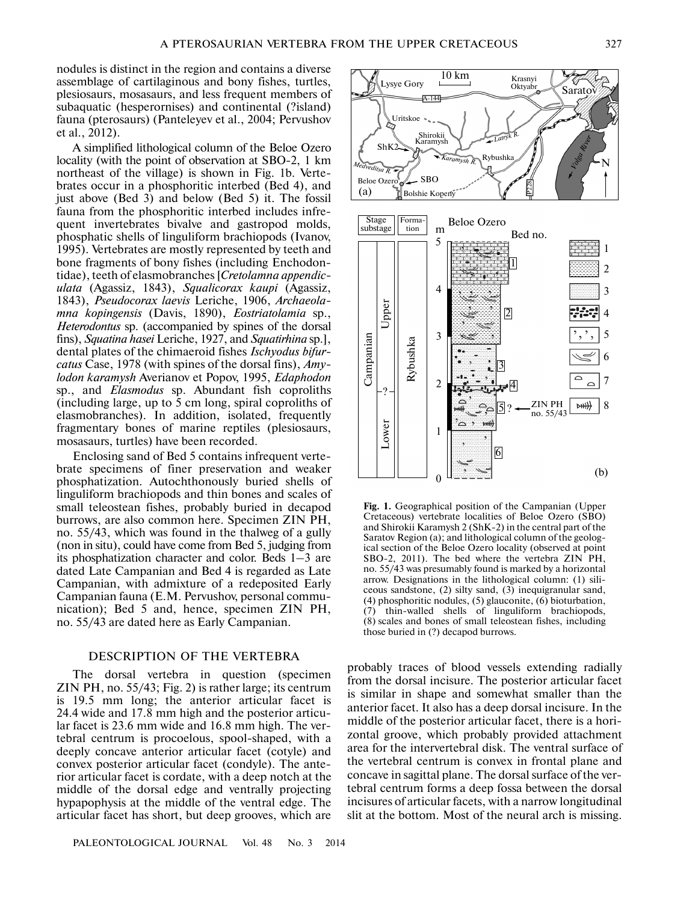nodules is distinct in the region and contains a diverse assemblage of cartilaginous and bony fishes, turtles, plesiosaurs, mosasaurs, and less frequent members of subaquatic (hesperornises) and continental (?island) fauna (pterosaurs) (Panteleyev et al., 2004; Pervushov et al., 2012).

A simplified lithological column of the Beloe Ozero locality (with the point of observation at SBO-2, 1 km northeast of the village) is shown in Fig. 1b. Verte brates occur in a phosphoritic interbed (Bed 4), and just above (Bed 3) and below (Bed 5) it. The fossil fauna from the phosphoritic interbed includes infre quent invertebrates bivalve and gastropod molds, phosphatic shells of linguliform brachiopods (Ivanov, 1995). Vertebrates are mostly represented by teeth and bone fragments of bony fishes (including Enchodon tidae), teeth of elasmobranches [*Cretolamna appendic ulata* (Agassiz, 1843), *Squalicorax kaupi* (Agassiz, 1843), *Pseudocorax laevis* Leriche, 1906, *Archaeola mna kopingensis* (Davis, 1890), *Eostriatolamia* sp., *Heterodontus* sp. (accompanied by spines of the dorsal fins), *Squatina hasei* Leriche, 1927, and *Squatirhina* sp.], dental plates of the chimaeroid fishes *Ischyodus bifur catus* Case, 1978 (with spines of the dorsal fins), *Amy lodon karamysh* Averianov et Popov, 1995, *Edaphodon* sp., and *Elasmodus* sp. Abundant fish coproliths (including large, up to 5 cm long, spiral coproliths of elasmobranches). In addition, isolated, frequently fragmentary bones of marine reptiles (plesiosaurs, mosasaurs, turtles) have been recorded.

Enclosing sand of Bed 5 contains infrequent verte brate specimens of finer preservation and weaker phosphatization. Autochthonously buried shells of linguliform brachiopods and thin bones and scales of small teleostean fishes, probably buried in decapod burrows, are also common here. Specimen ZIN PH, no. 55/43, which was found in the thalweg of a gully (non in situ), could have come from Bed 5, judging from its phosphatization character and color. Beds 1–3 are dated Late Campanian and Bed 4 is regarded as Late Campanian, with admixture of a redeposited Early Campanian fauna (E.M. Pervushov, personal commu nication); Bed 5 and, hence, specimen ZIN PH, no. 55/43 are dated here as Early Campanian.

## DESCRIPTION OF THE VERTEBRA

The dorsal vertebra in question (specimen ZIN PH, no. 55/43; Fig. 2) is rather large; its centrum is 19.5 mm long; the anterior articular facet is 24.4 wide and 17.8 mm high and the posterior articu lar facet is 23.6 mm wide and 16.8 mm high. The ver tebral centrum is procoelous, spool-shaped, with a deeply concave anterior articular facet (cotyle) and convex posterior articular facet (condyle). The ante rior articular facet is cordate, with a deep notch at the middle of the dorsal edge and ventrally projecting hypapophysis at the middle of the ventral edge. The articular facet has short, but deep grooves, which are



Fig. 1. Geographical position of the Campanian (Upper Cretaceous) vertebrate localities of Beloe Ozero (SBO) and Shirokii Karamysh 2 (ShK-2) in the central part of the Saratov Region (a); and lithological column of the geolog ical section of the Beloe Ozero locality (observed at point SBO-2, 2011). The bed where the vertebra ZIN PH, no. 55/43 was presumably found is marked by a horizontal arrow. Designations in the lithological column: (1) sili ceous sandstone, (2) silty sand, (3) inequigranular sand, (4) phosphoritic nodules, (5) glauconite, (6) bioturbation, (7) thin-walled shells of linguliform brachiopods, (8) scales and bones of small teleostean fishes, including those buried in (?) decapod burrows.

probably traces of blood vessels extending radially from the dorsal incisure. The posterior articular facet is similar in shape and somewhat smaller than the anterior facet. It also has a deep dorsal incisure. In the middle of the posterior articular facet, there is a hori zontal groove, which probably provided attachment area for the intervertebral disk. The ventral surface of the vertebral centrum is convex in frontal plane and concave in sagittal plane. The dorsal surface of the ver tebral centrum forms a deep fossa between the dorsal incisures of articular facets, with a narrow longitudinal slit at the bottom. Most of the neural arch is missing.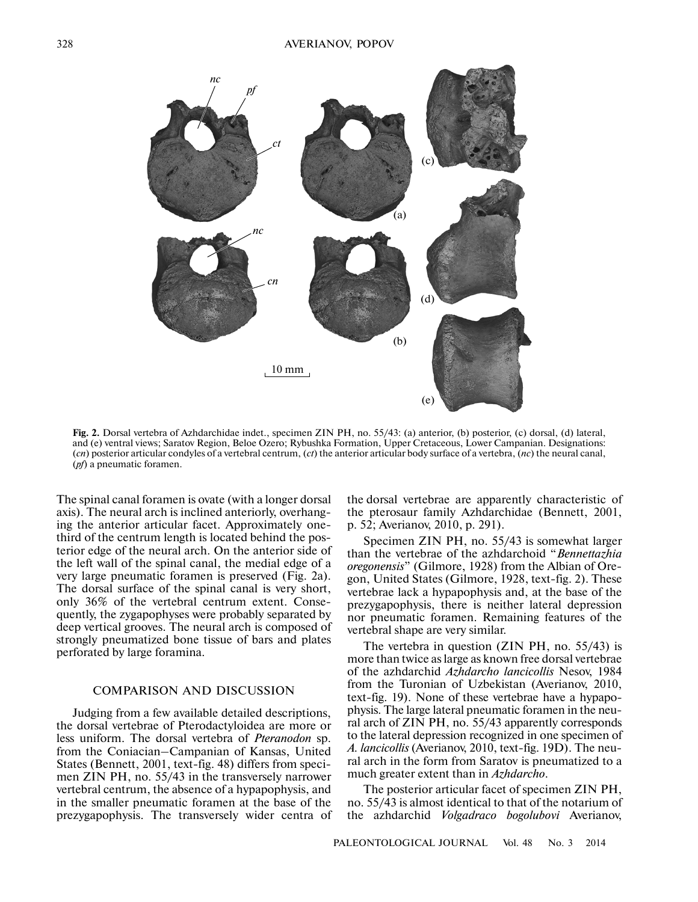

**Fig. 2.** Dorsal vertebra of Azhdarchidae indet., specimen ZIN PH, no. 55/43: (a) anterior, (b) posterior, (c) dorsal, (d) lateral, and (e) ventral views; Saratov Region, Beloe Ozero; Rybushka Formation, Upper Cretaceous, Lower Campanian. Designations: (*cn*) posterior articular condyles of a vertebral centrum, (*ct*) the anterior articular body surface of a vertebra, (*nc*) the neural canal, (*pf*) a pneumatic foramen.

The spinal canal foramen is ovate (with a longer dorsal axis). The neural arch is inclined anteriorly, overhang ing the anterior articular facet. Approximately one third of the centrum length is located behind the pos terior edge of the neural arch. On the anterior side of the left wall of the spinal canal, the medial edge of a very large pneumatic foramen is preserved (Fig. 2a). The dorsal surface of the spinal canal is very short, only 36% of the vertebral centrum extent. Conse quently, the zygapophyses were probably separated by deep vertical grooves. The neural arch is composed of strongly pneumatized bone tissue of bars and plates perforated by large foramina.

# COMPARISON AND DISCUSSION

Judging from a few available detailed descriptions, the dorsal vertebrae of Pterodactyloidea are more or less uniform. The dorsal vertebra of *Pteranodon* sp. from the Coniacian–Campanian of Kansas, United States (Bennett, 2001, text-fig. 48) differs from speci men ZIN PH, no. 55/43 in the transversely narrower vertebral centrum, the absence of a hypapophysis, and in the smaller pneumatic foramen at the base of the prezygapophysis. The transversely wider centra of the dorsal vertebrae are apparently characteristic of the pterosaur family Azhdarchidae (Bennett, 2001, p. 52; Averianov, 2010, p. 291).

Specimen ZIN PH, no. 55/43 is somewhat larger than the vertebrae of the azhdarchoid "*Bennettazhia oregonensis*" (Gilmore, 1928) from the Albian of Ore gon, United States (Gilmore, 1928, text-fig. 2). These vertebrae lack a hypapophysis and, at the base of the prezygapophysis, there is neither lateral depression nor pneumatic foramen. Remaining features of the vertebral shape are very similar.

The vertebra in question (ZIN PH, no. 55/43) is more than twice as large as known free dorsal vertebrae of the azhdarchid *Azhdarcho lancicollis* Nesov, 1984 from the Turonian of Uzbekistan (Averianov, 2010, text-fig. 19). None of these vertebrae have a hypapophysis. The large lateral pneumatic foramen in the neu ral arch of ZIN PH, no. 55/43 apparently corresponds to the lateral depression recognized in one specimen of *A. lancicollis* (Averianov, 2010, text-fig. 19D). The neu ral arch in the form from Saratov is pneumatized to a much greater extent than in *Azhdarcho*.

The posterior articular facet of specimen ZIN PH, no. 55/43 is almost identical to that of the notarium of the azhdarchid *Volgadraco bogolubovi* Averianov,